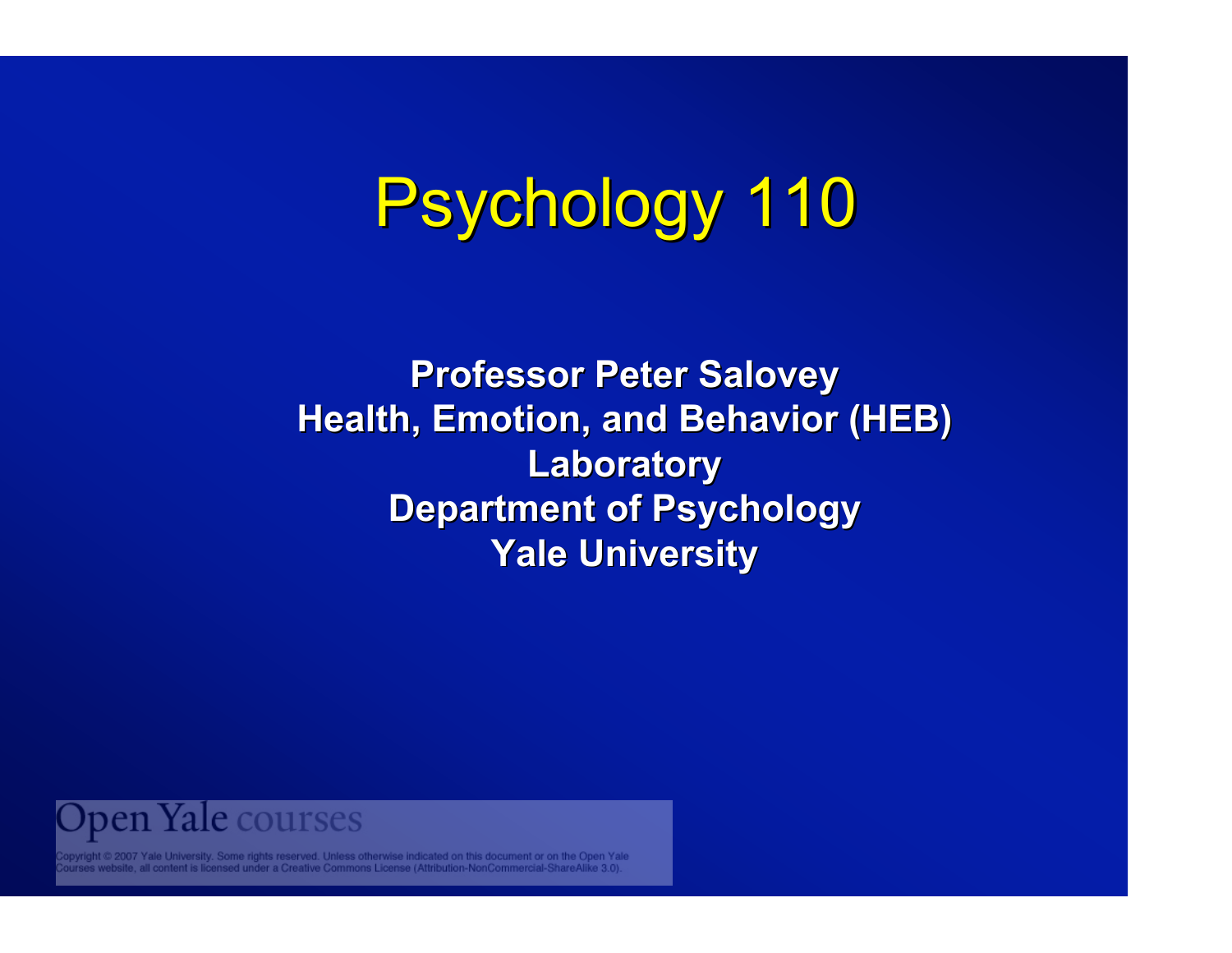# Psychology 110

**Professor Peter Salovey Professor Peter Salovey Health, Emotion, and Behavior (HEB) Laboratory Laboratory Department of Psychology Department of Psychology Yale University Yale University**



pyright © 2007 Yale University. Some rights reserved. Unless otherwise indicated on this document or on the Open Yale<br>urses website, all content is licensed under a Creative Commons License (Attribution-NonCommercial-Share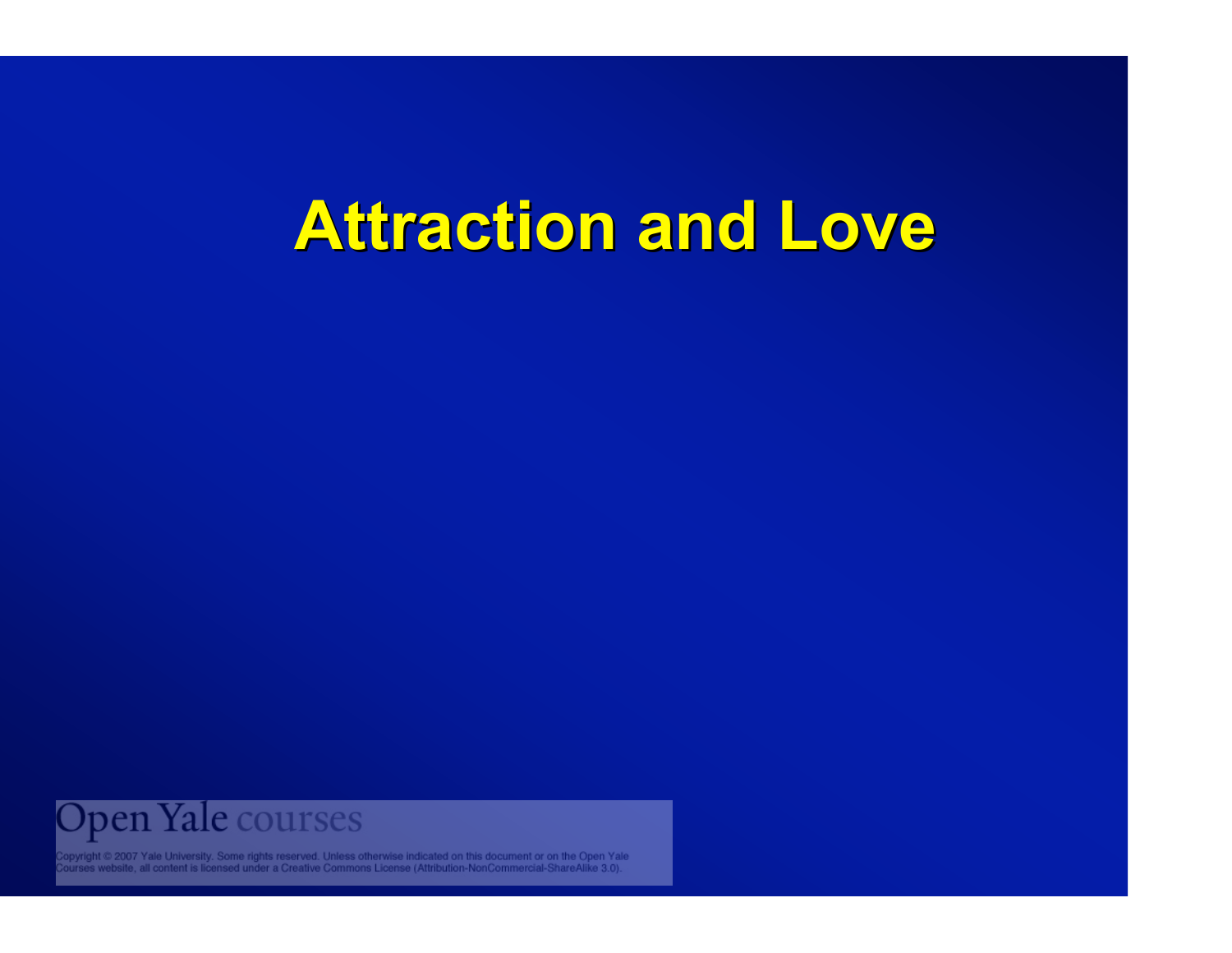

Copyright © 2007 Yale University. Some rights reserved. Unless otherwise indicated on this document or on the Open Yale<br>Courses website, all content is licensed under a Creative Commons License (Attribution-NonCommercial-S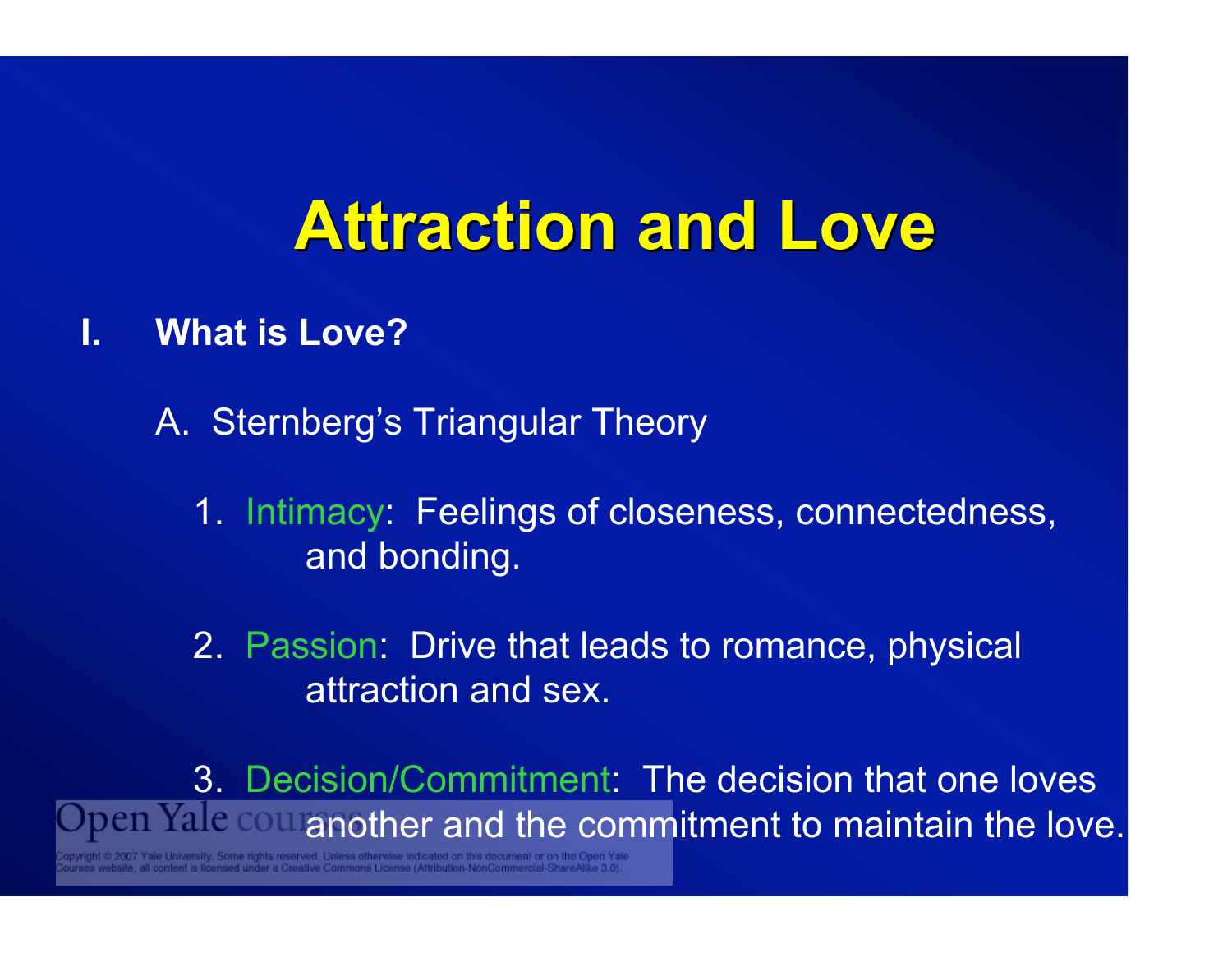- **I. What is Love?**
	- A. Sternberg's Triangular Theory
		- 1. Intimacy: Feelings of closeness, connectedness, and bonding.
		- 2. Passion: Drive that leads to romance, physical attraction and sex.

3. Decision/Commitment: The decision that one loves ben Yale cou another and the commitment to maintain the love.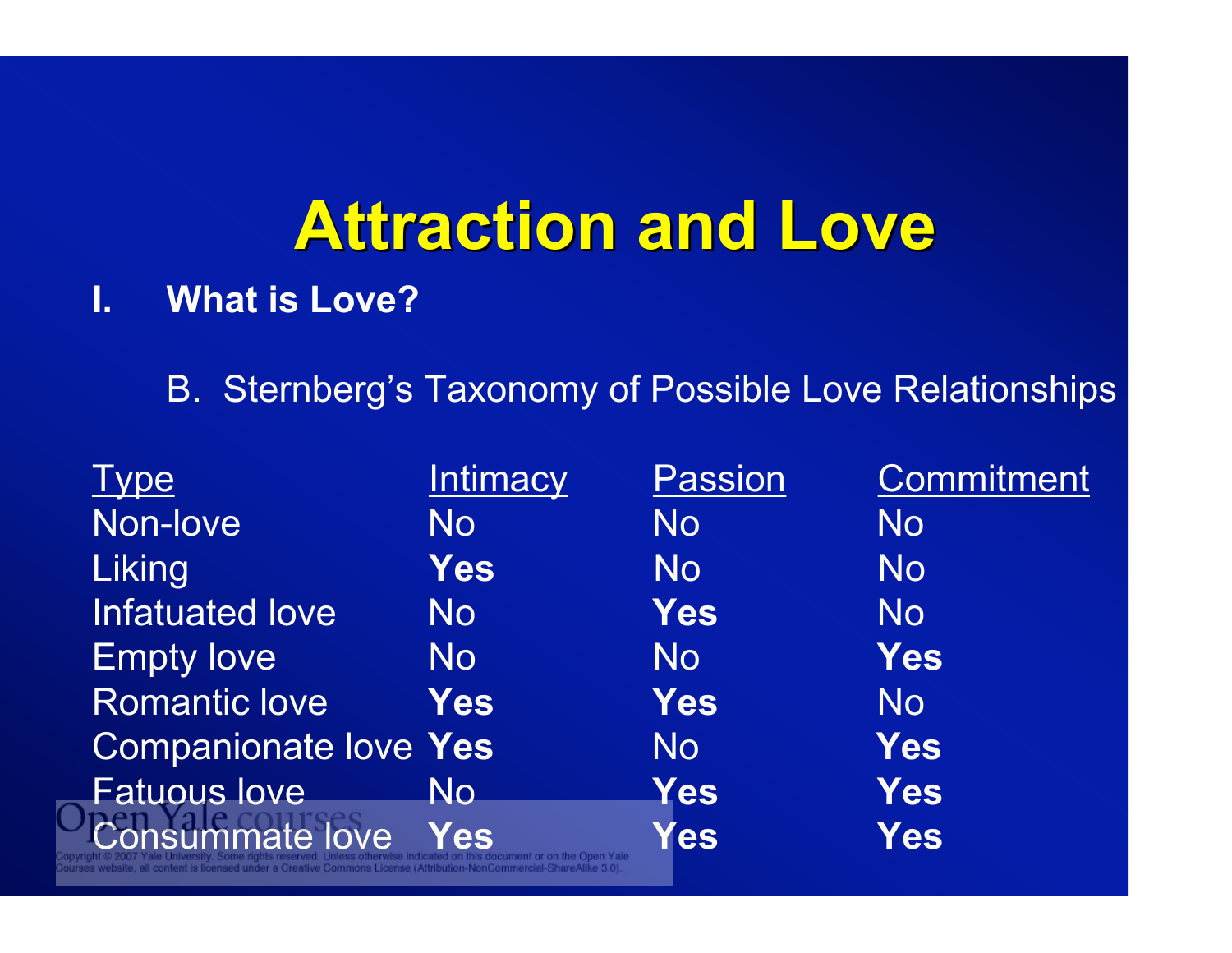#### **I. What is Love?**

B. Sternberg's Taxonomy of Possible Love Relationships

| <b>Intimacy</b>              | <b>Passion</b> | <b>Commitment</b> |
|------------------------------|----------------|-------------------|
| No                           | <b>No</b>      | <b>No</b>         |
| <b>Yes</b>                   | No             | <b>No</b>         |
| <b>No</b>                    | <b>Yes</b>     | <b>No</b>         |
| <b>No</b>                    | <b>No</b>      | <b>Yes</b>        |
| <b>Yes</b>                   | <b>Yes</b>     | <b>No</b>         |
| <b>Companionate love Yes</b> | <b>No</b>      | <b>Yes</b>        |
| No.                          | Yes            | <b>Yes</b>        |
| Yes                          | Yes            | <b>Yes</b>        |
|                              |                |                   |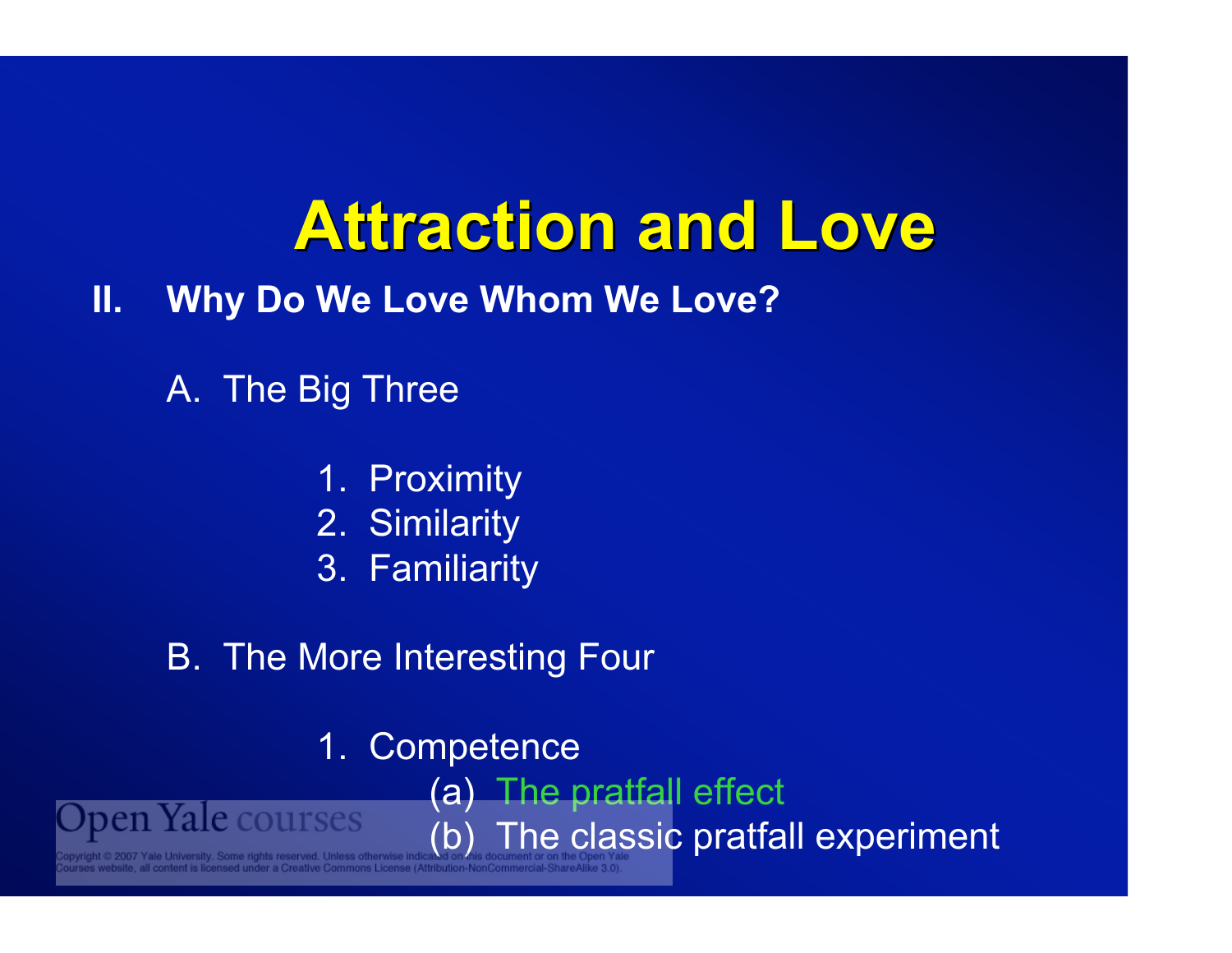**II. Why Do We Love Whom We Love?**

A. The Big Three

- 1. Proximity
- 2. Similarity
- 3. Familiarity
- B. The More Interesting Four
	- 1. Competence

(a) The pratfall effect

(b) The classic pratfall experiment

pen Yale courses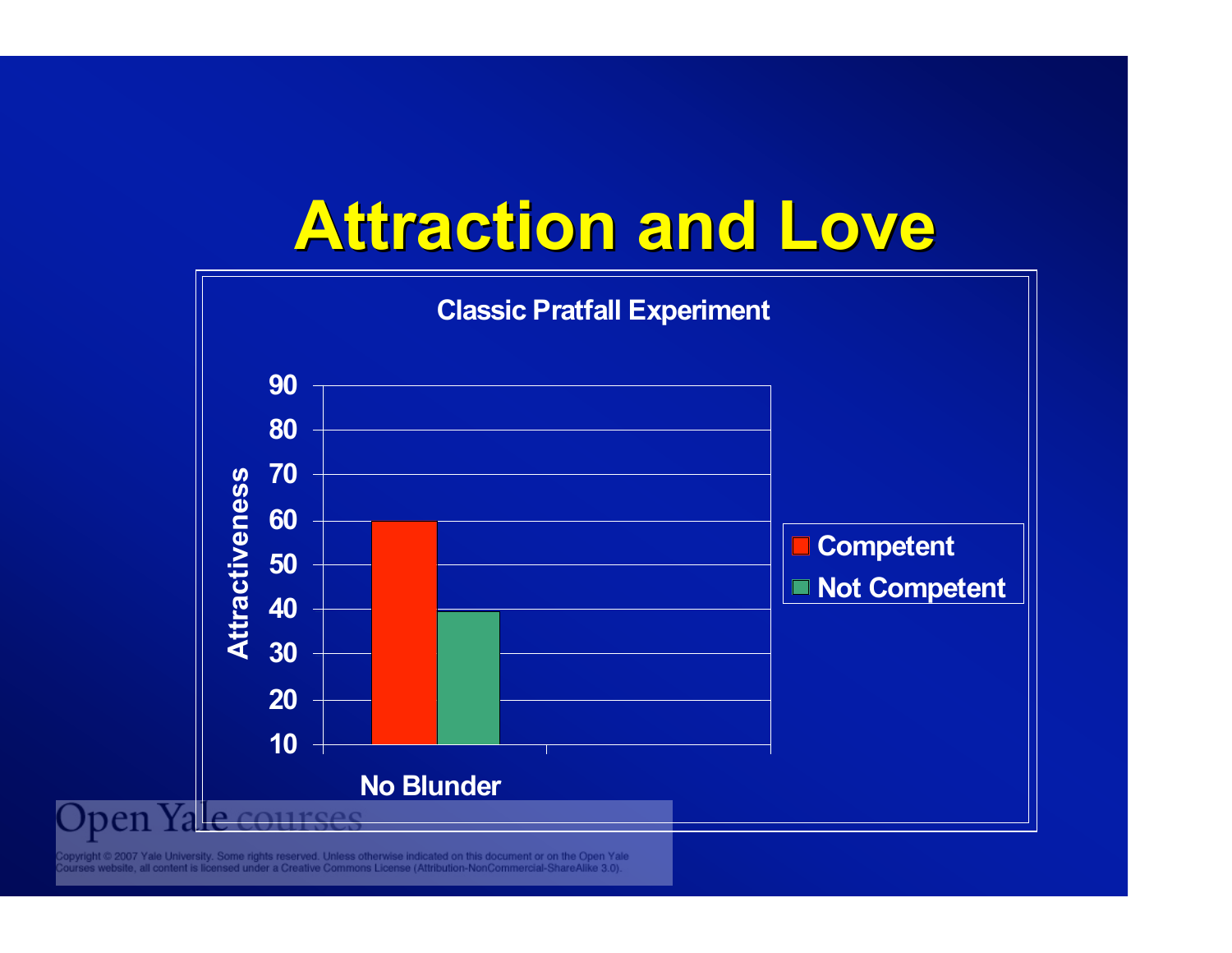

ppyright © 2007 Yale University. Some rights reserved. Unless otherwise indicated on this document or on the Open Yale<br>∪urses website, all content is licensed under a Creative Commons License (Attribution-NonCommercial-Sh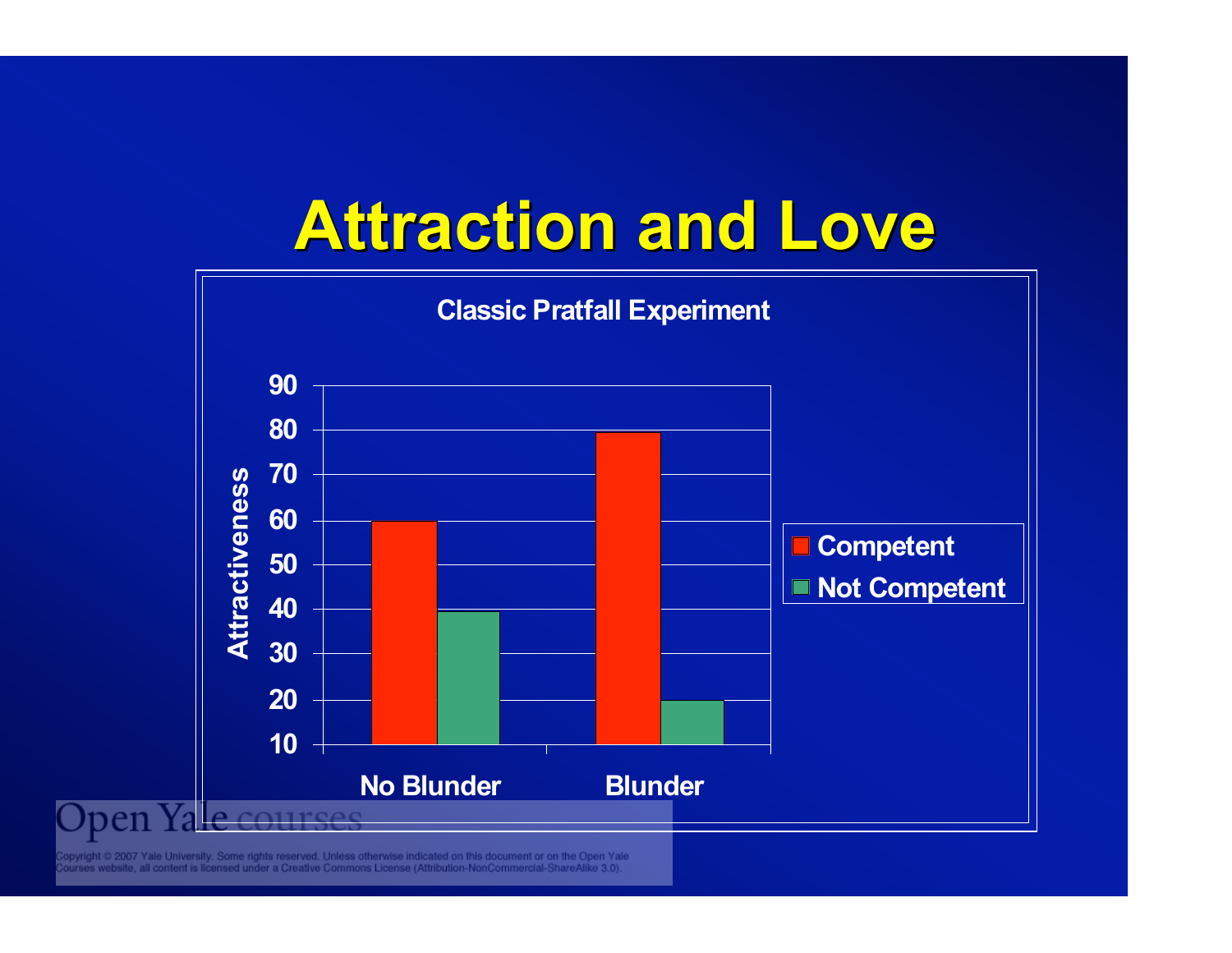

ight © 2007 Yale University. Some rights reserved. Unless otherwise indicated on this document or on the Open Yale<br>es website, all content is licensed under a Creative Commons License (Attribution-NonCommercial-ShareAlike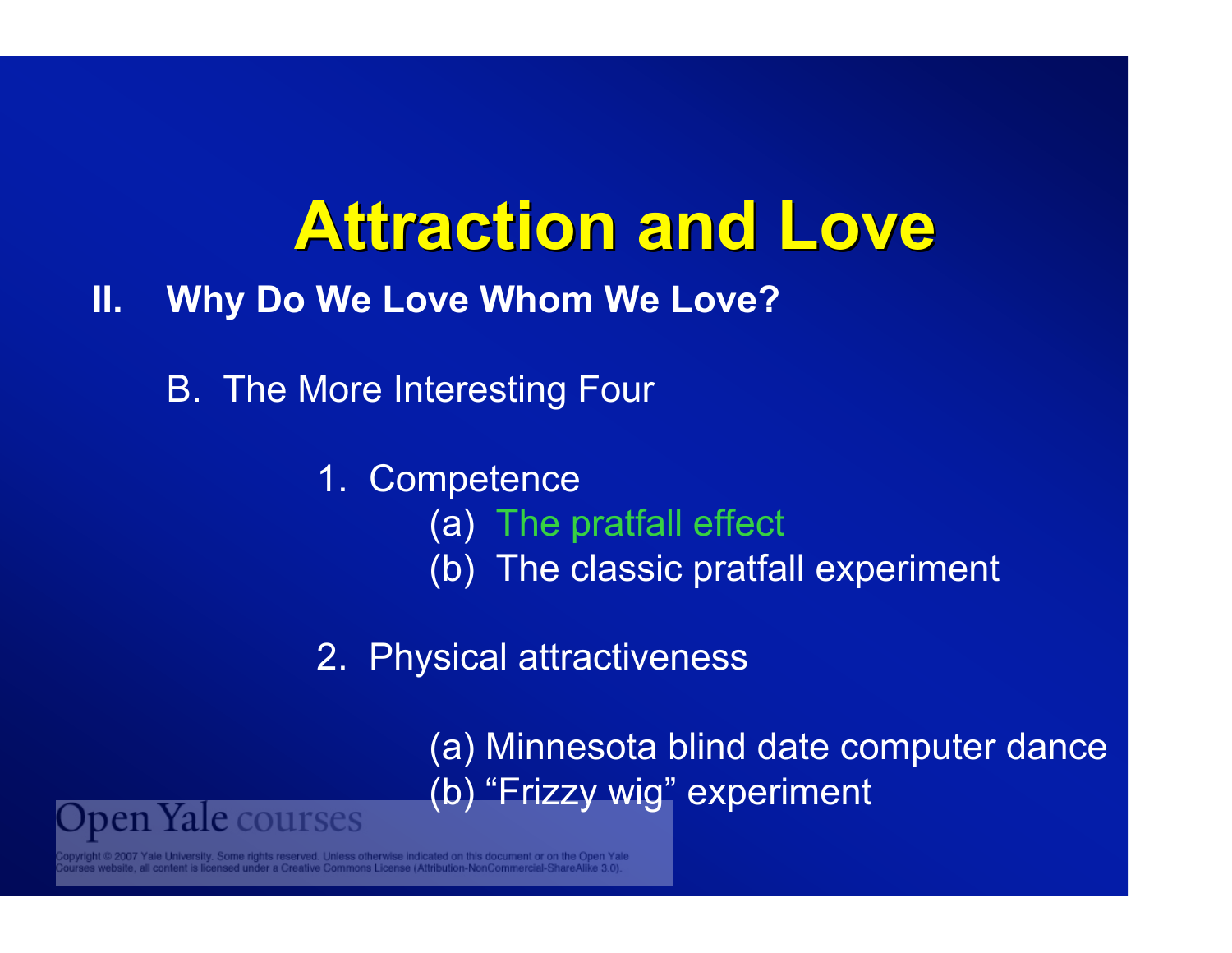#### **II. Why Do We Love Whom We Love?**

B. The More Interesting Four

1. Competence (a) The pratfall effect (b) The classic pratfall experiment

2. Physical attractiveness

(a) Minnesota blind date computer dance (b) "Frizzy wig" experiment

e rights reserved. Unless otherwise indicated on this document or on the Open Yale

pen Yale courses